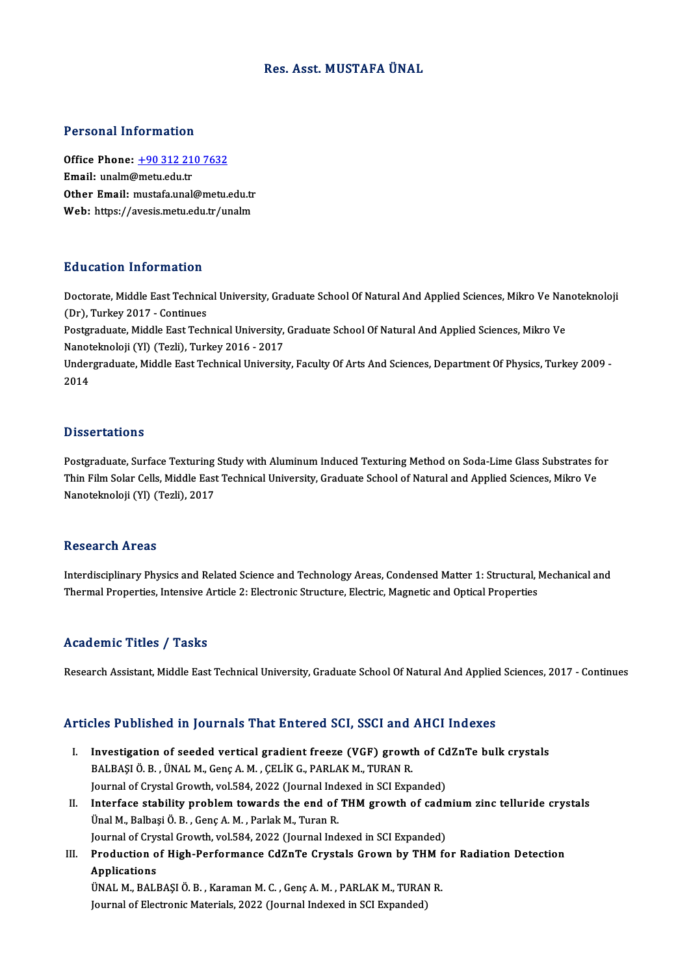#### Res. Asst. MUSTAFA ÜNAL

#### Personal Information

Personal Information<br>Office Phone: <u>+90 312 210 7632</u><br>Email: unalm@matu.edu.tr office Phone: <u>+90 312 21</u><br>Email: unalm@metu.edu.tr<br>Other Email: mustafe.unal Office Phone: <u>+90 312 210 7632</u><br>Email: unalm@metu.edu.tr<br>Other Email: [mustafa.unal@metu.](tel:+90 312 210 7632)edu.tr Email: unalm@metu.edu.tr<br>Other Email: mustafa.unal@metu.edu.tr<br>Web: https://avesis.metu.edu.tr/unalm

#### Education Information

Education Information<br>Doctorate, Middle East Technical University, Graduate School Of Natural And Applied Sciences, Mikro Ve Nanoteknoloji<br>(Dr), Turkey 2017, Continues Eu a castron Tinot Indexon<br>Doctorate, Middle East Technic<br>Doctareduate Middle East Tech Doctorate, Middle East Technical University, Graduate School Of Natural And Applied Sciences, Mikro Ve Nar<br>(Dr), Turkey 2017 - Continues<br>Postgraduate, Middle East Technical University, Graduate School Of Natural And Applie (Dr), Turkey 2017 - Continues<br>Postgraduate, Middle East Technical University, Graduate School Of Natural And Applied Sciences, Mikro Ve Undergraduate, Middle East Technical University, Faculty Of Arts And Sciences, Department Of Physics, Turkey 2009 -<br>2014 Nanoteknoloji (Yl) (Tezli), Turkey 2016 - 2017

#### **Dissertations**

Postgraduate, Surface Texturing Study with Aluminum Induced Texturing Method on Soda-Lime Glass Substrates for Dissel tations<br>Postgraduate, Surface Texturing Study with Aluminum Induced Texturing Method on Soda-Lime Glass Substrates fo<br>Thin Film Solar Cells, Middle East Technical University, Graduate School of Natural and Applied S Postgraduate, Surface Texturing<br>Thin Film Solar Cells, Middle East<br>Nanoteknoloji (Yl) (Tezli), 2017 Nanoteknoloji (Yl) (Tezli), 2017<br>Research Areas

Research Areas<br>Interdisciplinary Physics and Related Science and Technology Areas, Condensed Matter 1: Structural, Mechanical and<br>Thermal Preparties, Intensive Article 2: Electronic Structure, Electric Megnetic and Onticel Teobeut on TH cub<br>Interdisciplinary Physics and Related Science and Technology Areas, Condensed Matter 1: Structural, l<br>Thermal Properties, Intensive Article 2: Electronic Structure, Electric, Magnetic and Optical Properti Thermal Properties, Intensive Article 2: Electronic Structure, Electric, Magnetic and Optical Properties<br>Academic Titles / Tasks

Research Assistant, Middle East Technical University, Graduate School Of Natural And Applied Sciences, 2017 - Continues

#### Articles Published in Journals That Entered SCI, SSCI and AHCI Indexes

- rticles Published in Journals That Entered SCI, SSCI and AHCI Indexes<br>I. Investigation of seeded vertical gradient freeze (VGF) growth of CdZnTe bulk crystals<br>RALBASIÖ B. ÜNALM CODSAM, CELUC, BABLAKM, TURAN B Investigation of seeded vertical gradient freeze (VGF) growt<br>BALBAŞI Ö. B. , ÜNAL M., Genç A. M. , ÇELİK G., PARLAK M., TURAN R.<br>Journal of Crustal Crouth, vel 594, 2022 (Journal Indoved in SCL Evre Investigation of seeded vertical gradient freeze (VGF) growth of Containers of the SALBAŞI Ö. B. , ÜNAL M., Genç A. M. , ÇELİK G., PARLAK M., TURAN R.<br>Journal of Crystal Growth, vol.584, 2022 (Journal Indexed in SCI Expand BALBAŞI Ö. B. , ÜNAL M., Genç A. M. , ÇELİK G., PARLAK M., TURAN R.<br>Journal of Crystal Growth, vol.584, 2022 (Journal Indexed in SCI Expanded)<br>II. Interface stability problem towards the end of THM growth of cadmium zinc t
- Journal of Crystal Growth, vol.584, 2022 (Journal Ind<br>Interface stability problem towards the end of<br>Ünal M., Balbaşi Ö. B. , Genç A. M. , Parlak M., Turan R.<br>Journal of Grustal Crouth, vol.594, 2022 (Journal Ind Interface stability problem towards the end of THM growth of cadn<br>Ünal M., Balbaşi Ö. B. , Genç A. M. , Parlak M., Turan R.<br>Journal of Crystal Growth, vol.584, 2022 (Journal Indexed in SCI Expanded)<br>Production of High Borf Unal M., Balbaşi Ö. B. , Genç A. M. , Parlak M., Turan R.<br>Journal of Crystal Growth, vol.584, 2022 (Journal Indexed in SCI Expanded)<br>III. Production of High-Performance CdZnTe Crystals Grown by THM for Radiation Detection
- **Journal of Crys<br>Production o<br>Applications**<br><sup>IIMAL</sup> M. PALI Production of High-Performance CdZnTe Crystals Grown by THM f<br>Applications<br>ÜNAL M., BALBAŞI Ö. B. , Karaman M. C. , Genç A. M. , PARLAK M., TURAN R.<br>Journal of Electronic Meterials, 2022 (Journal Indoved in SCL Eunanded) Applications<br>ÜNAL M., BALBAŞI Ö. B. , Karaman M. C. , Genç A. M. , PARLAK M., TURAN R.<br>Journal of Electronic Materials, 2022 (Journal Indexed in SCI Expanded)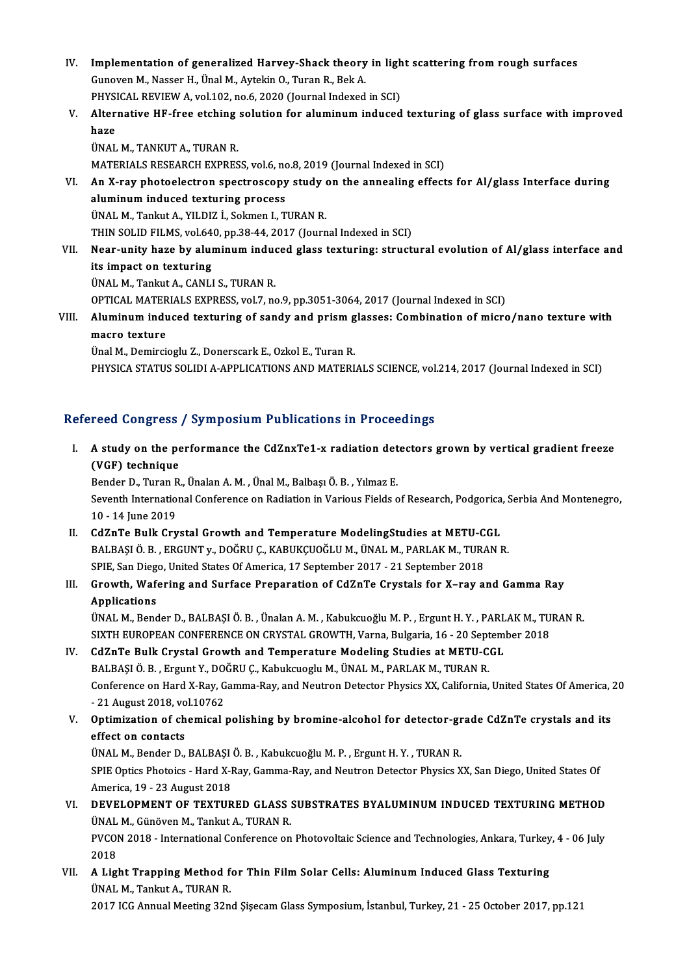- IV. Implementation of generalized Harvey-Shack theory in light scattering fromrough surfaces Implementation of generalized Harvey-Shack theory<br>Gunoven M., Nasser H., Ünal M., Aytekin O., Turan R., Bek A.<br>BHYSICAL BEVIEW A. VPL102, Be 6, 2020 (Jaurnal Indexed Implementation of generalized Harvey-Shack theory in ligh<br>Gunoven M., Nasser H., Ünal M., Aytekin O., Turan R., Bek A.<br>PHYSICAL REVIEW A, vol.102, no.6, 2020 (Journal Indexed in SCI)<br>Alternative HE free etching solution fo
- Gunoven M., Nasser H., Ünal M., Aytekin O., Turan R., Bek A.<br>PHYSICAL REVIEW A, vol.102, no.6, 2020 (Journal Indexed in SCI)<br>V. Alternative HF-free etching solution for aluminum induced texturing of glass surface with PHYSI<br><mark>Alter</mark><br>haze<br>üNAL haze<br>ÜNAL M., TANKUT A., TURAN R.<br>MATERIALS RESEARCH EXPRESS, vol.6, no.8, 2019 (Journal Indexed in SCI)<br>An Y ray photoelectron spectroscopy study on the annealing offect
	- haze<br>ÜNAL M., TANKUT A., TURAN R.

UNAL M., TANKUT A., TURAN R.<br>MATERIALS RESEARCH EXPRESS, vol.6, no.8, 2019 (Journal Indexed in SCI)<br>VI. An X-ray photoelectron spectroscopy study on the annealing effects for Al/glass Interface during<br>aluminum induced MATERIALS RESEARCH EXPRESS, vol.6, no<br>An X-ray photoelectron spectroscopy<br>aluminum induced texturing process<br><sup>UNAL M</sup>. Tankut A. VU DIZ L. Selmen L. T An X-ray photoelectron spectroscopy study or<br>aluminum induced texturing process<br>ÜNAL M., Tankut A., YILDIZ İ., Sokmen I., TURAN R.<br>THIN SOLID EU MS. val 640. pp.28.44.2017 (Jaurn aluminum induced texturing process<br>ÜNAL M., Tankut A., YILDIZ İ., Sokmen I., TURAN R.<br>THIN SOLID FILMS, vol.640, pp.38-44, 2017 (Journal Indexed in SCI)<br>Near unity hare by aluminum induced glass texturing; structi

ÜNAL M., Tankut A., YILDIZ İ., Sokmen I., TURAN R.<br>THIN SOLID FILMS, vol.640, pp.38-44, 2017 (Journal Indexed in SCI)<br>VII. Near-unity haze by aluminum induced glass texturing: structural evolution of Al/glass interface THIN SOLID FILMS, vol.64<br>Near-unity haze by alur<br>its impact on texturing its impact on texturing<br>ÜNAL M., Tankut A., CANLI S., TURAN R.<br>OPTICAL MATERIALS EXPRESS, vol.7, no.9, pp.3051-3064, 2017 (Journal Indexed in SCI)<br>Aluminum induced texturing of sandy and prism glasses: Combination of misro

ÜNALM.,TankutA.,CANLI S.,TURANR.

UNAL M., Tankut A., CANLI S., TURAN R.<br>OPTICAL MATERIALS EXPRESS, vol.7, no.9, pp.3051-3064, 2017 (Journal Indexed in SCI)<br>VIII. Aluminum induced texturing of sandy and prism glasses: Combination of micro/nano texture OPTICAL MATER<br>Aluminum indu<br>macro texture Aluminum induced texturing of sandy and prism g<br>macro texture<br>Ünal M., Demircioglu Z., Donerscark E., Ozkol E., Turan R.<br>PHYSICA STATUS SOLIDLA APPLICATIONS AND MATERL

macro texture<br>Ünal M., Demircioglu Z., Donerscark E., Ozkol E., Turan R.<br>PHYSICA STATUS SOLIDI A-APPLICATIONS AND MATERIALS SCIENCE, vol.214, 2017 (Journal Indexed in SCI)

### Refereed Congress / Symposium Publications in Proceedings

efereed Congress / Symposium Publications in Proceedings<br>I. A study on the performance the CdZnxTe1-x radiation detectors grown by vertical gradient freeze A study on the performance of the performance of the performance of the Bondon D Turan B A study on the performance the CdZnxTe1-x radiation det<br>(VGF) technique<br>Bender D., Turan R., Ünalan A.M. , Ünal M., Balbaşı Ö.B. , Yılmaz E.<br>Seventh International Conference en Badiation in Verieus Fields e

(VGF) technique<br>Bender D., Turan R., Ünalan A. M. , Ünal M., Balbaşı Ö. B. , Yılmaz E.<br>Seventh International Conference on Radiation in Various Fields of Research, Podgorica, Serbia And Montenegro, Bender D., Turan R<br>Seventh Internatio<br>10 - 14 June 2019<br>CdZnTe Bulls Cru Seventh International Conference on Radiation in Various Fields of Research, Podgorica<br>10 - 14 June 2019<br>II. CdZnTe Bulk Crystal Growth and Temperature ModelingStudies at METU-CGL<br>PALPASI Ö. P. EDCUNT.v. DOČPU C. KAPUKCUOČ

10 - 14 June 2019<br>CdZnTe Bulk Crystal Growth and Temperature ModelingStudies at METU-CGL<br>BALBAŞI Ö. B. , ERGUNT y., DOĞRU Ç., KABUKÇUOĞLU M., ÜNAL M., PARLAK M., TURAN R.<br>SPIE San Diago United States Of America, 17 Septemb CdZnTe Bulk Crystal Growth and Temperature ModelingStudies at METU-C<br>BALBAŞI Ö. B. , ERGUNT y., DOĞRU Ç., KABUKÇUOĞLU M., ÜNAL M., PARLAK M., TURA<br>SPIE, San Diego, United States Of America, 17 September 2017 - 21 September SPIE, San Diego, United States Of America, 17 September 2017 - 21 September 2018

### III. Growth, Wafering and Surface Preparation of CdZnTe Crystals for X-ray and Gamma Ray<br>Applications Growth, Wafering and Surface Preparation of CdZnTe Crystals for X–ray and Gamma Ray<br>Applications<br>ÜNAL M., Bender D., BALBAŞI Ö. B. , Ünalan A. M. , Kabukcuoğlu M. P. , Ergunt H. Y. , PARLAK M., TURAN R.<br>SIVTH EUROPEAN CONE

Applications<br>ÜNAL M., Bender D., BALBAŞI Ö. B. , Ünalan A. M. , Kabukcuoğlu M. P. , Ergunt H. Y. , PARLAK M., TU<br>SIXTH EUROPEAN CONFERENCE ON CRYSTAL GROWTH, Varna, Bulgaria, 16 - 20 September 2018<br>GdZpTe Bull: Grystal Gro UNAL M., Bender D., BALBAŞI Ö. B., Ünalan A. M., Kabukcuoğlu M. P., Ergunt H. Y., PARL<br>SIXTH EUROPEAN CONFERENCE ON CRYSTAL GROWTH, Varna, Bulgaria, 16 - 20 Septem<br>IV. CdZnTe Bulk Crystal Growth and Temperature Modeling St

# SIXTH EUROPEAN CONFERENCE ON CRYSTAL GROWTH, Varna, Bulgaria, 16 - 20 September 2018<br>IV. CdZnTe Bulk Crystal Growth and Temperature Modeling Studies at METU-CGL<br>BALBAŞI Ö. B. , Ergunt Y., DOĞRU Ç., Kabukcuoglu M., ÜNAL M.,

Conference on Hard X-Ray, Gamma-Ray, and Neutron Detector Physics XX, California, United States Of America, 20 BALBAȘI Ö. B. , Ergunt Y., DO<br>Conference on Hard X-Ray, G<br>- 21 August 2018, vol.10762<br>Ontimization of chemical Conference on Hard X-Ray, Gamma-Ray, and Neutron Detector Physics XX, California, United States Of America, 1<br>21 August 2018, vol.10762<br>V. Optimization of chemical polishing by bromine-alcohol for detector-grade CdZnTe cry

## - 21 August 2018, vo<br>Optimization of ch<br>effect on contacts<br><sup>UNAL M</sup> Bender D Optimization of chemical polishing by bromine-alcohol for detector-greffect on contacts<br>Effect on contacts<br>ÜNAL M., Bender D., BALBAŞI Ö. B. , Kabukcuoğlu M. P. , Ergunt H. Y. , TURAN R.<br>SPIE Optics Photoiss , Hord Y Boy,

effect on contacts<br>ÜNAL M., Bender D., BALBAŞI Ö. B. , Kabukcuoğlu M. P. , Ergunt H. Y. , TURAN R.<br>SPIE Optics Photoics - Hard X-Ray, Gamma-Ray, and Neutron Detector Physics XX, San Diego, United States Of UNAL M., Bender D., BALBAŞI<br>SPIE Optics Photoics - Hard X-I<br>America, 19 - 23 August 2018<br>DEVELOPMENT OF TEYTUP SPIE Optics Photoics - Hard X-Ray, Gamma-Ray, and Neutron Detector Physics XX, San Diego, United States Of<br>America, 19 - 23 August 2018<br>VI. DEVELOPMENT OF TEXTURED GLASS SUBSTRATES BYALUMINUM INDUCED TEXTURING METHOD

## America, 19 - 23 August 2018<br>DEVELOPMENT OF TEXTURED GLASS :<br>ÜNAL M., Günöven M., Tankut A., TURAN R.<br>PVCON 2018 - International Conference on DEVELOPMENT OF TEXTURED GLASS SUBSTRATES BYALUMINUM INDUCED TEXTURING METHOD<br>ÜNAL M., Günöven M., Tankut A., TURAN R.<br>PVCON 2018 - International Conference on Photovoltaic Science and Technologies, Ankara, Turkey, 4 - 06 J

ÜNAL M., Günöven M., Tankut A., TURAN R.<br>PVCON 2018 - International Conference on Photovoltaic Science and Technologies, Ankara, Turkey, 4 - 06 July<br>2018 PVCON 2018 - International Conference on Photovoltaic Science and Technologies, Ankara, Turkey<br>2018<br>VII. A Light Trapping Method for Thin Film Solar Cells: Aluminum Induced Glass Texturing<br><sup>INALM</sup> Tenlut A TUPAN P

2018<br>A Light Trapping Method f<br>ÜNAL M., Tankut A., TURAN R.<br>2017 ICC Annual Meeting 22n A Light Trapping Method for Thin Film Solar Cells: Aluminum Induced Glass Texturing<br>ÜNAL M., Tankut A., TURAN R.<br>2017 ICG Annual Meeting 32nd Şişecam Glass Symposium, İstanbul, Turkey, 21 - 25 October 2017, pp.121